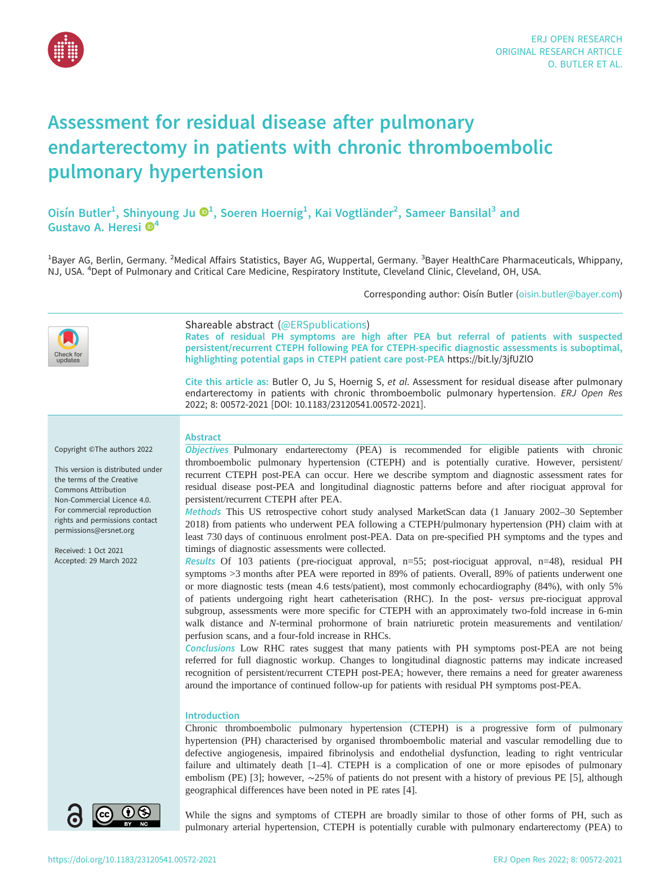

# Assessment for residual disease after pulmonary endarterectomy in patients with chronic thromboembolic pulmonary hypertension

Oisín Butler<sup>1</sup>, Shinyoung Ju <sup>®1</sup>, Soeren Hoernig<sup>1</sup>, Kai Vogtländer<sup>2</sup>, Sameer Bansilal<sup>3</sup> and Gustavo A. Heresi  $\mathbf{\Theta}^4$ 

<sup>1</sup>Bayer AG, Berlin, Germany. <sup>2</sup>Medical Affairs Statistics, Bayer AG, Wuppertal, Germany. <sup>3</sup>Bayer HealthCare Pharmaceuticals, Whippany, NJ, USA. <sup>4</sup>Dept of Pulmonary and Critical Care Medicine, Respiratory Institute, Cleveland Clinic, Cleveland, OH, USA.

Corresponding author: Oisín Butler ([oisin.butler@bayer.com](mailto:oisin.butler@bayer.com))

| updates                                                                                                                                                                                                                                                                                           | Shareable abstract (@ERSpublications)<br>Rates of residual PH symptoms are high after PEA but referral of patients with suspected<br>persistent/recurrent CTEPH following PEA for CTEPH-specific diagnostic assessments is suboptimal,<br>highlighting potential gaps in CTEPH patient care post-PEA https://bit.ly/3jfUZlO<br>Cite this article as: Butler O, Ju S, Hoernig S, et al. Assessment for residual disease after pulmonary<br>endarterectomy in patients with chronic thromboembolic pulmonary hypertension. ERJ Open Res<br>2022; 8: 00572-2021 [DOI: 10.1183/23120541.00572-2021].                                                                                                                                                                                                                                                                                                                                                                                                                                                                                                                                                                                                                                                                                                                                                                                                                                                                                                                                                                                                                                                                                                                                                                                                                                                                                                                                                                         |
|---------------------------------------------------------------------------------------------------------------------------------------------------------------------------------------------------------------------------------------------------------------------------------------------------|--------------------------------------------------------------------------------------------------------------------------------------------------------------------------------------------------------------------------------------------------------------------------------------------------------------------------------------------------------------------------------------------------------------------------------------------------------------------------------------------------------------------------------------------------------------------------------------------------------------------------------------------------------------------------------------------------------------------------------------------------------------------------------------------------------------------------------------------------------------------------------------------------------------------------------------------------------------------------------------------------------------------------------------------------------------------------------------------------------------------------------------------------------------------------------------------------------------------------------------------------------------------------------------------------------------------------------------------------------------------------------------------------------------------------------------------------------------------------------------------------------------------------------------------------------------------------------------------------------------------------------------------------------------------------------------------------------------------------------------------------------------------------------------------------------------------------------------------------------------------------------------------------------------------------------------------------------------------------|
| Copyright ©The authors 2022<br>This version is distributed under<br>the terms of the Creative<br>Commons Attribution<br>Non-Commercial Licence 4.0.<br>For commercial reproduction<br>rights and permissions contact<br>permissions@ersnet.org<br>Received: 1 Oct 2021<br>Accepted: 29 March 2022 | <b>Abstract</b><br>Objectives Pulmonary endarterectomy (PEA) is recommended for eligible patients with chronic<br>thromboembolic pulmonary hypertension (CTEPH) and is potentially curative. However, persistent/<br>recurrent CTEPH post-PEA can occur. Here we describe symptom and diagnostic assessment rates for<br>residual disease post-PEA and longitudinal diagnostic patterns before and after riociguat approval for<br>persistent/recurrent CTEPH after PEA.<br>Methods This US retrospective cohort study analysed MarketScan data (1 January 2002-30 September<br>2018) from patients who underwent PEA following a CTEPH/pulmonary hypertension (PH) claim with at<br>least 730 days of continuous enrolment post-PEA. Data on pre-specified PH symptoms and the types and<br>timings of diagnostic assessments were collected.<br>Results Of 103 patients (pre-riociguat approval, n=55; post-riociguat approval, n=48), residual PH<br>symptoms >3 months after PEA were reported in 89% of patients. Overall, 89% of patients underwent one<br>or more diagnostic tests (mean 4.6 tests/patient), most commonly echocardiography (84%), with only 5%<br>of patients undergoing right heart catheterisation (RHC). In the post- versus pre-riociguat approval<br>subgroup, assessments were more specific for CTEPH with an approximately two-fold increase in 6-min<br>walk distance and N-terminal prohormone of brain natriuretic protein measurements and ventilation/<br>perfusion scans, and a four-fold increase in RHCs.<br>Conclusions Low RHC rates suggest that many patients with PH symptoms post-PEA are not being<br>referred for full diagnostic workup. Changes to longitudinal diagnostic patterns may indicate increased<br>recognition of persistent/recurrent CTEPH post-PEA; however, there remains a need for greater awareness<br>around the importance of continued follow-up for patients with residual PH symptoms post-PEA. |
|                                                                                                                                                                                                                                                                                                   | Introduction<br>Chronic thromboembolic pulmonary hypertension (CTEPH) is a progressive form of pulmonary<br>hypertension (PH) characterised by organised thromboembolic material and vascular remodelling due to<br>defective angiogenesis, impaired fibrinolysis and endothelial dysfunction, leading to right ventricular<br>failure and ultimately death [1-4]. CTEPH is a complication of one or more episodes of pulmonary<br>embolism (PE) [3]; however, $\sim$ 25% of patients do not present with a history of previous PE [5], although<br>geographical differences have been noted in PE rates [4].                                                                                                                                                                                                                                                                                                                                                                                                                                                                                                                                                                                                                                                                                                                                                                                                                                                                                                                                                                                                                                                                                                                                                                                                                                                                                                                                                            |
| 0<br>(cc)                                                                                                                                                                                                                                                                                         | While the signs and symptoms of CTEPH are broadly similar to those of other forms of PH, such as                                                                                                                                                                                                                                                                                                                                                                                                                                                                                                                                                                                                                                                                                                                                                                                                                                                                                                                                                                                                                                                                                                                                                                                                                                                                                                                                                                                                                                                                                                                                                                                                                                                                                                                                                                                                                                                                         |

pulmonary arterial hypertension, CTEPH is potentially curable with pulmonary endarterectomy (PEA) to

 $BY$  NC

 $\bullet$   $\bullet$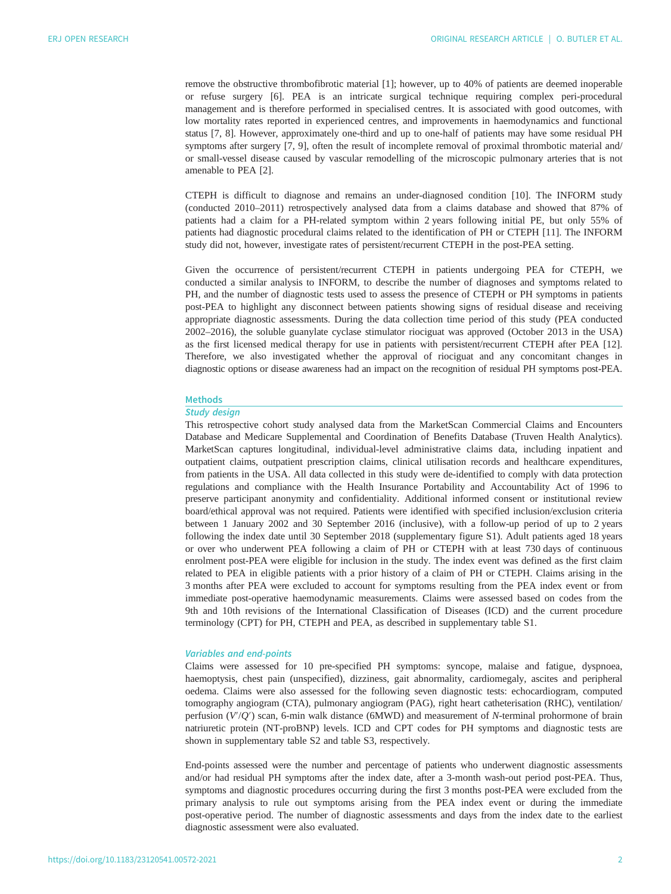remove the obstructive thrombofibrotic material [\[1\]](#page-8-0); however, up to 40% of patients are deemed inoperable or refuse surgery [[6](#page-9-0)]. PEA is an intricate surgical technique requiring complex peri-procedural management and is therefore performed in specialised centres. It is associated with good outcomes, with low mortality rates reported in experienced centres, and improvements in haemodynamics and functional status [\[7, 8](#page-9-0)]. However, approximately one-third and up to one-half of patients may have some residual PH symptoms after surgery [\[7, 9](#page-9-0)], often the result of incomplete removal of proximal thrombotic material and/ or small-vessel disease caused by vascular remodelling of the microscopic pulmonary arteries that is not amenable to PEA [\[2\]](#page-8-0).

CTEPH is difficult to diagnose and remains an under-diagnosed condition [\[10](#page-9-0)]. The INFORM study (conducted 2010‒2011) retrospectively analysed data from a claims database and showed that 87% of patients had a claim for a PH-related symptom within 2 years following initial PE, but only 55% of patients had diagnostic procedural claims related to the identification of PH or CTEPH [[11\]](#page-9-0). The INFORM study did not, however, investigate rates of persistent/recurrent CTEPH in the post-PEA setting.

Given the occurrence of persistent/recurrent CTEPH in patients undergoing PEA for CTEPH, we conducted a similar analysis to INFORM, to describe the number of diagnoses and symptoms related to PH, and the number of diagnostic tests used to assess the presence of CTEPH or PH symptoms in patients post-PEA to highlight any disconnect between patients showing signs of residual disease and receiving appropriate diagnostic assessments. During the data collection time period of this study (PEA conducted 2002–2016), the soluble guanylate cyclase stimulator riociguat was approved (October 2013 in the USA) as the first licensed medical therapy for use in patients with persistent/recurrent CTEPH after PEA [[12\]](#page-9-0). Therefore, we also investigated whether the approval of riociguat and any concomitant changes in diagnostic options or disease awareness had an impact on the recognition of residual PH symptoms post-PEA.

# **Methods**

# Study design

This retrospective cohort study analysed data from the MarketScan Commercial Claims and Encounters Database and Medicare Supplemental and Coordination of Benefits Database (Truven Health Analytics). MarketScan captures longitudinal, individual-level administrative claims data, including inpatient and outpatient claims, outpatient prescription claims, clinical utilisation records and healthcare expenditures, from patients in the USA. All data collected in this study were de-identified to comply with data protection regulations and compliance with the Health Insurance Portability and Accountability Act of 1996 to preserve participant anonymity and confidentiality. Additional informed consent or institutional review board/ethical approval was not required. Patients were identified with specified inclusion/exclusion criteria between 1 January 2002 and 30 September 2016 (inclusive), with a follow-up period of up to 2 years following the index date until 30 September 2018 [\(supplementary figure S1](http://openres.ersjournals.com/lookup/doi/10.1183/23120541.00572-2021.figures-only#fig-data-supplementary-materials)). Adult patients aged 18 years or over who underwent PEA following a claim of PH or CTEPH with at least 730 days of continuous enrolment post-PEA were eligible for inclusion in the study. The index event was defined as the first claim related to PEA in eligible patients with a prior history of a claim of PH or CTEPH. Claims arising in the 3 months after PEA were excluded to account for symptoms resulting from the PEA index event or from immediate post-operative haemodynamic measurements. Claims were assessed based on codes from the 9th and 10th revisions of the International Classification of Diseases (ICD) and the current procedure terminology (CPT) for PH, CTEPH and PEA, as described in [supplementary table S1.](http://openres.ersjournals.com/lookup/doi/10.1183/23120541.00572-2021.figures-only#fig-data-supplementary-materials)

## Variables and end-points

Claims were assessed for 10 pre-specified PH symptoms: syncope, malaise and fatigue, dyspnoea, haemoptysis, chest pain (unspecified), dizziness, gait abnormality, cardiomegaly, ascites and peripheral oedema. Claims were also assessed for the following seven diagnostic tests: echocardiogram, computed tomography angiogram (CTA), pulmonary angiogram (PAG), right heart catheterisation (RHC), ventilation/ perfusion (V'/Q') scan, 6-min walk distance (6MWD) and measurement of N-terminal prohormone of brain natriuretic protein (NT-proBNP) levels. ICD and CPT codes for PH symptoms and diagnostic tests are shown in [supplementary table S2 and table S3](http://openres.ersjournals.com/lookup/doi/10.1183/23120541.00572-2021.figures-only#fig-data-supplementary-materials), respectively.

End-points assessed were the number and percentage of patients who underwent diagnostic assessments and/or had residual PH symptoms after the index date, after a 3-month wash-out period post-PEA. Thus, symptoms and diagnostic procedures occurring during the first 3 months post-PEA were excluded from the primary analysis to rule out symptoms arising from the PEA index event or during the immediate post-operative period. The number of diagnostic assessments and days from the index date to the earliest diagnostic assessment were also evaluated.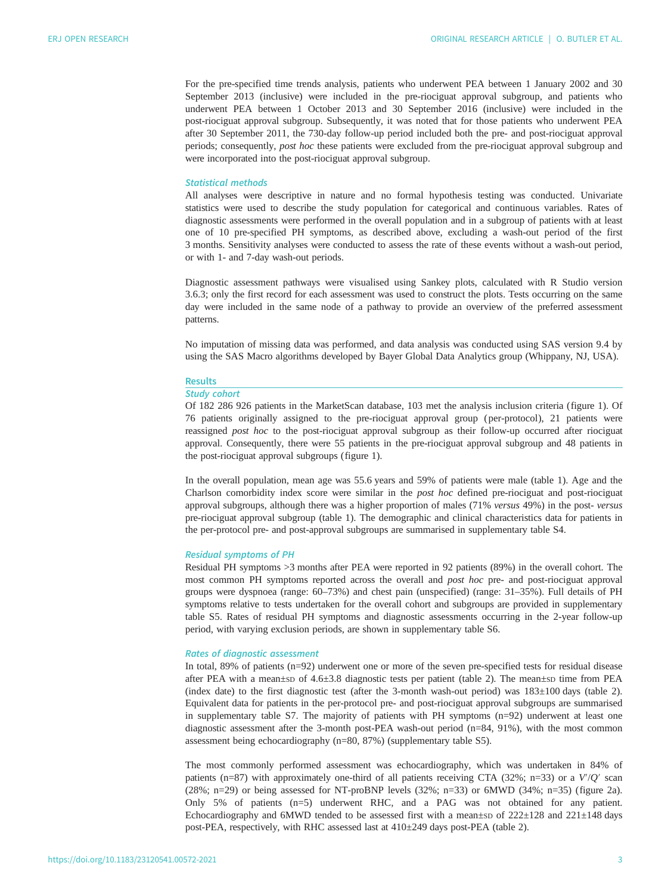For the pre-specified time trends analysis, patients who underwent PEA between 1 January 2002 and 30 September 2013 (inclusive) were included in the pre-riociguat approval subgroup, and patients who underwent PEA between 1 October 2013 and 30 September 2016 (inclusive) were included in the post-riociguat approval subgroup. Subsequently, it was noted that for those patients who underwent PEA after 30 September 2011, the 730-day follow-up period included both the pre- and post-riociguat approval periods; consequently, post hoc these patients were excluded from the pre-riociguat approval subgroup and were incorporated into the post-riociguat approval subgroup.

# Statistical methods

All analyses were descriptive in nature and no formal hypothesis testing was conducted. Univariate statistics were used to describe the study population for categorical and continuous variables. Rates of diagnostic assessments were performed in the overall population and in a subgroup of patients with at least one of 10 pre-specified PH symptoms, as described above, excluding a wash-out period of the first 3 months. Sensitivity analyses were conducted to assess the rate of these events without a wash-out period, or with 1- and 7-day wash-out periods.

Diagnostic assessment pathways were visualised using Sankey plots, calculated with R Studio version 3.6.3; only the first record for each assessment was used to construct the plots. Tests occurring on the same day were included in the same node of a pathway to provide an overview of the preferred assessment patterns.

No imputation of missing data was performed, and data analysis was conducted using SAS version 9.4 by using the SAS Macro algorithms developed by Bayer Global Data Analytics group (Whippany, NJ, USA).

## Results

# Study cohort

Of 182 286 926 patients in the MarketScan database, 103 met the analysis inclusion criteria [\(figure 1](#page-3-0)). Of 76 patients originally assigned to the pre-riociguat approval group ( per-protocol), 21 patients were reassigned post hoc to the post-riociguat approval subgroup as their follow-up occurred after riociguat approval. Consequently, there were 55 patients in the pre-riociguat approval subgroup and 48 patients in the post-riociguat approval subgroups ([figure 1](#page-3-0)).

In the overall population, mean age was 55.6 years and 59% of patients were male [\(table 1](#page-4-0)). Age and the Charlson comorbidity index score were similar in the post hoc defined pre-riociguat and post-riociguat approval subgroups, although there was a higher proportion of males (71% versus 49%) in the post- versus pre-riociguat approval subgroup [\(table 1](#page-4-0)). The demographic and clinical characteristics data for patients in the per-protocol pre- and post-approval subgroups are summarised in [supplementary table S4](http://openres.ersjournals.com/lookup/doi/10.1183/23120541.00572-2021.figures-only#fig-data-supplementary-materials).

# Residual symptoms of PH

Residual PH symptoms >3 months after PEA were reported in 92 patients (89%) in the overall cohort. The most common PH symptoms reported across the overall and post hoc pre- and post-riociguat approval groups were dyspnoea (range: 60–73%) and chest pain (unspecified) (range: 31–35%). Full details of PH symptoms relative to tests undertaken for the overall cohort and subgroups are provided in [supplementary](http://openres.ersjournals.com/lookup/doi/10.1183/23120541.00572-2021.figures-only#fig-data-supplementary-materials) [table S5](http://openres.ersjournals.com/lookup/doi/10.1183/23120541.00572-2021.figures-only#fig-data-supplementary-materials). Rates of residual PH symptoms and diagnostic assessments occurring in the 2-year follow-up period, with varying exclusion periods, are shown in [supplementary table S6.](http://openres.ersjournals.com/lookup/doi/10.1183/23120541.00572-2021.figures-only#fig-data-supplementary-materials)

# Rates of diagnostic assessment

In total, 89% of patients (n=92) underwent one or more of the seven pre-specified tests for residual disease after PEA with a mean±sp of 4.6±3.8 diagnostic tests per patient [\(table 2](#page-4-0)). The mean±sp time from PEA (index date) to the first diagnostic test (after the 3-month wash-out period) was 183±100 days [\(table 2\)](#page-4-0). Equivalent data for patients in the per-protocol pre- and post-riociguat approval subgroups are summarised in [supplementary table S7.](http://openres.ersjournals.com/lookup/doi/10.1183/23120541.00572-2021.figures-only#fig-data-supplementary-materials) The majority of patients with PH symptoms (n=92) underwent at least one diagnostic assessment after the 3-month post-PEA wash-out period (n=84, 91%), with the most common assessment being echocardiography (n=80, 87%) ([supplementary table S5\)](http://openres.ersjournals.com/lookup/doi/10.1183/23120541.00572-2021.figures-only#fig-data-supplementary-materials).

The most commonly performed assessment was echocardiography, which was undertaken in 84% of patients (n=87) with approximately one-third of all patients receiving CTA (32%; n=33) or a V′/Q′ scan (28%; n=29) or being assessed for NT-proBNP levels  $(32\%; n=33)$  or 6MWD  $(34\%; n=35)$  ([figure 2a\)](#page-5-0). Only 5% of patients (n=5) underwent RHC, and a PAG was not obtained for any patient. Echocardiography and 6MWD tended to be assessed first with a mean±sp of 222±128 and 221±148 days post-PEA, respectively, with RHC assessed last at 410±249 days post-PEA [\(table 2\)](#page-4-0).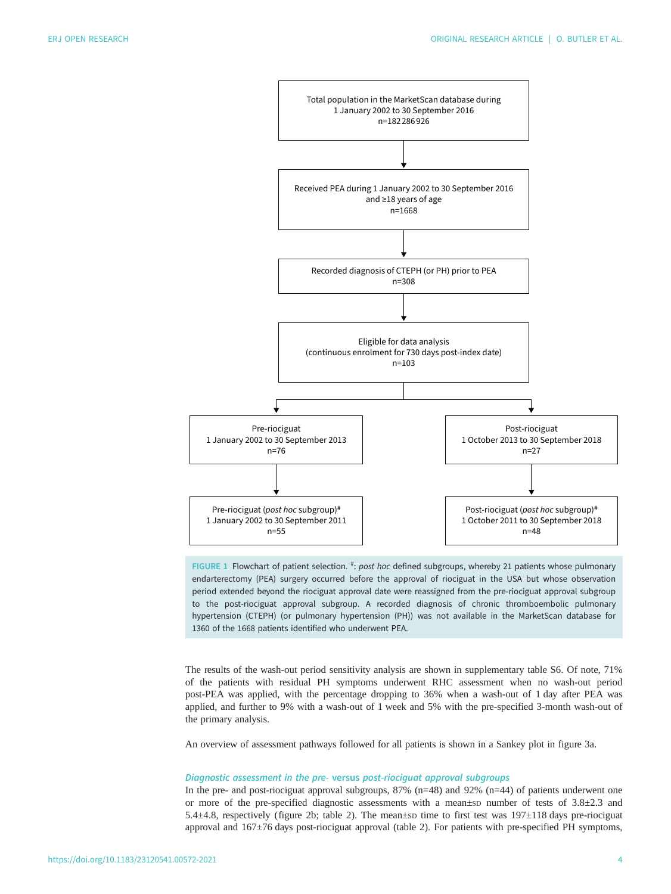<span id="page-3-0"></span>

FIGURE 1 Flowchart of patient selection. <sup>#</sup>: post hoc defined subgroups, whereby 21 patients whose pulmonary endarterectomy (PEA) surgery occurred before the approval of riociguat in the USA but whose observation period extended beyond the riociguat approval date were reassigned from the pre-riociguat approval subgroup to the post-riociguat approval subgroup. A recorded diagnosis of chronic thromboembolic pulmonary hypertension (CTEPH) (or pulmonary hypertension (PH)) was not available in the MarketScan database for 1360 of the 1668 patients identified who underwent PEA.

The results of the wash-out period sensitivity analysis are shown in [supplementary table S6](http://openres.ersjournals.com/lookup/doi/10.1183/23120541.00572-2021.figures-only#fig-data-supplementary-materials). Of note, 71% of the patients with residual PH symptoms underwent RHC assessment when no wash-out period post-PEA was applied, with the percentage dropping to 36% when a wash-out of 1 day after PEA was applied, and further to 9% with a wash-out of 1 week and 5% with the pre-specified 3-month wash-out of the primary analysis.

An overview of assessment pathways followed for all patients is shown in a Sankey plot in [figure 3a.](#page-6-0)

## Diagnostic assessment in the pre- versus post-riociguat approval subgroups

In the pre- and post-riociguat approval subgroups, 87% (n=48) and 92% (n=44) of patients underwent one or more of the pre-specified diagnostic assessments with a mean±sp number of tests of 3.8±2.3 and 5.4±4.8, respectively ([figure 2b;](#page-5-0) [table 2\)](#page-4-0). The mean±SD time to first test was 197±118 days pre-riociguat approval and 167±76 days post-riociguat approval [\(table 2](#page-4-0)). For patients with pre-specified PH symptoms,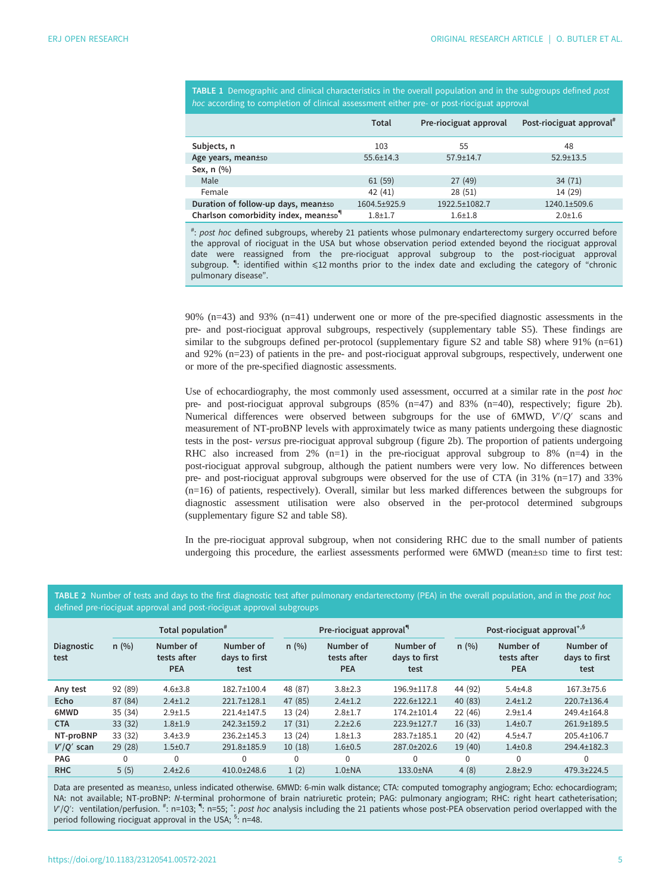<span id="page-4-0"></span>

| <b>TABLE 1</b> Demographic and clinical characteristics in the overall population and in the subgroups defined post |  |  |  |  |
|---------------------------------------------------------------------------------------------------------------------|--|--|--|--|
| <i>hoc</i> according to completion of clinical assessment either pre- or post-riociguat approval                    |  |  |  |  |

|                                                  | <b>Total</b>    | Pre-riociguat approval | Post-riociguat approval <sup>#</sup> |
|--------------------------------------------------|-----------------|------------------------|--------------------------------------|
| Subjects, n                                      | 103             | 55                     | 48                                   |
| Age years, mean±sp                               | $55.6 \pm 14.3$ | $57.9 \pm 14.7$        | $52.9 \pm 13.5$                      |
| Sex, n (%)                                       |                 |                        |                                      |
| Male                                             | 61(59)          | 27(49)                 | 34(71)                               |
| Female                                           | 42(41)          | 28(51)                 | 14 (29)                              |
| Duration of follow-up days, mean±sp              | 1604.5±925.9    | 1922.5±1082.7          | $1240.1 + 509.6$                     |
| Charlson comorbidity index, mean±sp <sup>q</sup> | $1.8 + 1.7$     | $1.6 + 1.8$            | $2.0 + 1.6$                          |

# : post hoc defined subgroups, whereby 21 patients whose pulmonary endarterectomy surgery occurred before the approval of riociguat in the USA but whose observation period extended beyond the riociguat approval date were reassigned from the pre-riociguat approval subgroup to the post-riociguat approval subgroup. <sup>¶</sup>: identified within ≤12 months prior to the index date and excluding the category of "chronic pulmonary disease".

90% (n=43) and 93% (n=41) underwent one or more of the pre-specified diagnostic assessments in the pre- and post-riociguat approval subgroups, respectively ([supplementary table S5](http://openres.ersjournals.com/lookup/doi/10.1183/23120541.00572-2021.figures-only#fig-data-supplementary-materials)). These findings are similar to the subgroups defined per-protocol [\(supplementary figure S2 and table S8](http://openres.ersjournals.com/lookup/doi/10.1183/23120541.00572-2021.figures-only#fig-data-supplementary-materials)) where 91% (n=61) and 92% (n=23) of patients in the pre- and post-riociguat approval subgroups, respectively, underwent one or more of the pre-specified diagnostic assessments.

Use of echocardiography, the most commonly used assessment, occurred at a similar rate in the post hoc pre- and post-riociguat approval subgroups (85% (n=47) and 83% (n=40), respectively; [figure 2b\)](#page-5-0). Numerical differences were observed between subgroups for the use of 6MWD, V′/Q′ scans and measurement of NT-proBNP levels with approximately twice as many patients undergoing these diagnostic tests in the post- versus pre-riociguat approval subgroup [\(figure 2b](#page-5-0)). The proportion of patients undergoing RHC also increased from  $2\%$  (n=1) in the pre-riociguat approval subgroup to 8% (n=4) in the post-riociguat approval subgroup, although the patient numbers were very low. No differences between pre- and post-riociguat approval subgroups were observed for the use of CTA (in 31% (n=17) and 33% (n=16) of patients, respectively). Overall, similar but less marked differences between the subgroups for diagnostic assessment utilisation were also observed in the per-protocol determined subgroups [\(supplementary figure S2 and table S8](http://openres.ersjournals.com/lookup/doi/10.1183/23120541.00572-2021.figures-only#fig-data-supplementary-materials)).

In the pre-riociguat approval subgroup, when not considering RHC due to the small number of patients undergoing this procedure, the earliest assessments performed were 6MWD (mean±sp time to first test:

TABLE 2 Number of tests and days to the first diagnostic test after pulmonary endarterectomy (PEA) in the overall population, and in the post hoc defined pre-riociguat approval and post-riociguat approval subgroups

|                    | Total population <sup>#</sup> |                                        |                                    | Pre-riociguat approval <sup>"</sup> |                                        |                                    | Post-riociguat approval <sup>+,9</sup> |                                        |                                    |
|--------------------|-------------------------------|----------------------------------------|------------------------------------|-------------------------------------|----------------------------------------|------------------------------------|----------------------------------------|----------------------------------------|------------------------------------|
| Diagnostic<br>test | n(%)                          | Number of<br>tests after<br><b>PEA</b> | Number of<br>days to first<br>test | n(%)                                | Number of<br>tests after<br><b>PEA</b> | Number of<br>days to first<br>test | n(%)                                   | Number of<br>tests after<br><b>PEA</b> | Number of<br>days to first<br>test |
| Any test           | 92 (89)                       | $4.6 \pm 3.8$                          | 182.7±100.4                        | 48 (87)                             | $3.8 \pm 2.3$                          | 196.9±117.8                        | 44 (92)                                | $5.4 + 4.8$                            | $167.3 + 75.6$                     |
| Echo               | 87 (84)                       | $2.4 \pm 1.2$                          | 221.7±128.1                        | 47 (85)                             | $2.4 \pm 1.2$                          | 222.6±122.1                        | 40 (83)                                | $2.4 \pm 1.2$                          | 220.7±136.4                        |
| 6MWD               | 35(34)                        | $2.9 + 1.5$                            | 221.4±147.5                        | 13 (24)                             | $2.8 \pm 1.7$                          | $174.2 \pm 101.4$                  | 22(46)                                 | $2.9 + 1.4$                            | 249.4±164.8                        |
| <b>CTA</b>         | 33(32)                        | $1.8 + 1.9$                            | 242.3±159.2                        | 17(31)                              | $2.2 \pm 2.6$                          | 223.9±127.7                        | 16(33)                                 | $1.4 + 0.7$                            | 261.9±189.5                        |
| NT-proBNP          | 33(32)                        | $3.4 \pm 3.9$                          | $236.2 \pm 145.3$                  | 13 (24)                             | $1.8 + 1.3$                            | 283.7±185.1                        | 20(42)                                 | $4.5 + 4.7$                            | $205.4 \pm 106.7$                  |
| $V'/Q'$ scan       | 29(28)                        | $1.5 + 0.7$                            | 291.8±185.9                        | 10(18)                              | $1.6 + 0.5$                            | 287.0±202.6                        | 19 (40)                                | $1.4 + 0.8$                            | 294.4±182.3                        |
| <b>PAG</b>         | $\Omega$                      | $\mathbf{0}$                           | 0                                  | $\Omega$                            | $\Omega$                               | $\Omega$                           | $\Omega$                               | $\Omega$                               | 0                                  |
| <b>RHC</b>         | 5(5)                          | $2.4 \pm 2.6$                          | 410.0±248.6                        | 1(2)                                | $1.0 \pm NA$                           | $133.0 \pm NA$                     | 4(8)                                   | $2.8 \pm 2.9$                          | $479.3 + 224.5$                    |

Data are presented as mean±sp, unless indicated otherwise. 6MWD: 6-min walk distance; CTA: computed tomography angiogram; Echo: echocardiogram; NA: not available; NT-proBNP: N-terminal prohormone of brain natriuretic protein; PAG: pulmonary angiogram; RHC: right heart catheterisation; V'/Q': ventilation/perfusion. <sup>#</sup>: n=103; ": n=55; \*: post hoc analysis including the 21 patients whose post-PEA observation period overlapped with the period following riociguat approval in the USA; <sup>§</sup>: n=48.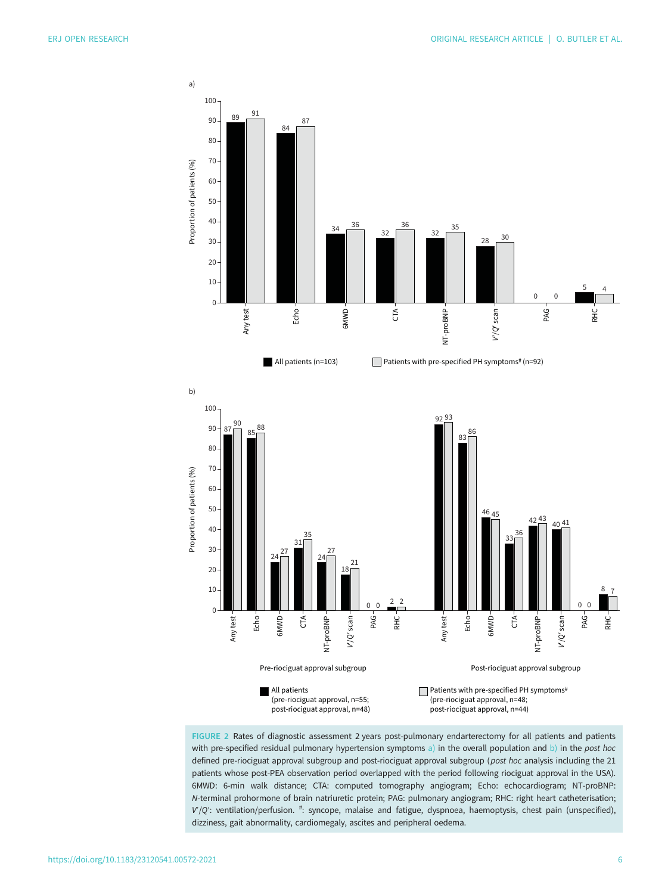<span id="page-5-0"></span>

FIGURE 2 Rates of diagnostic assessment 2 years post-pulmonary endarterectomy for all patients and patients with pre-specified residual pulmonary hypertension symptoms a) in the overall population and b) in the post hoc defined pre-riociguat approval subgroup and post-riociguat approval subgroup (post hoc analysis including the 21 patients whose post-PEA observation period overlapped with the period following riociguat approval in the USA). 6MWD: 6-min walk distance; CTA: computed tomography angiogram; Echo: echocardiogram; NT-proBNP: N-terminal prohormone of brain natriuretic protein; PAG: pulmonary angiogram; RHC: right heart catheterisation; V'/Q': ventilation/perfusion. <sup>#</sup>: syncope, malaise and fatigue, dyspnoea, haemoptysis, chest pain (unspecified), dizziness, gait abnormality, cardiomegaly, ascites and peripheral oedema.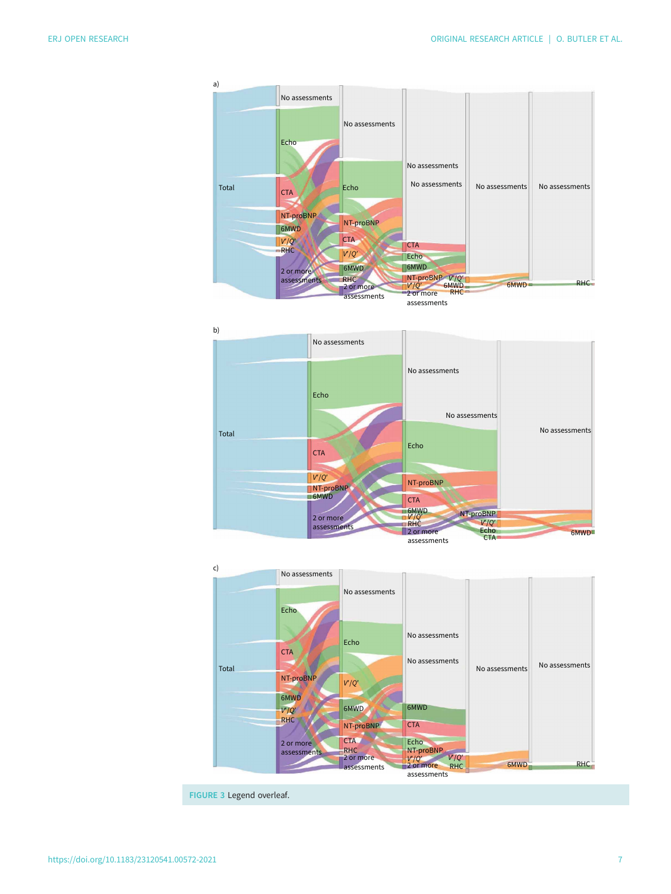<span id="page-6-0"></span>





FIGURE 3 Legend overleaf.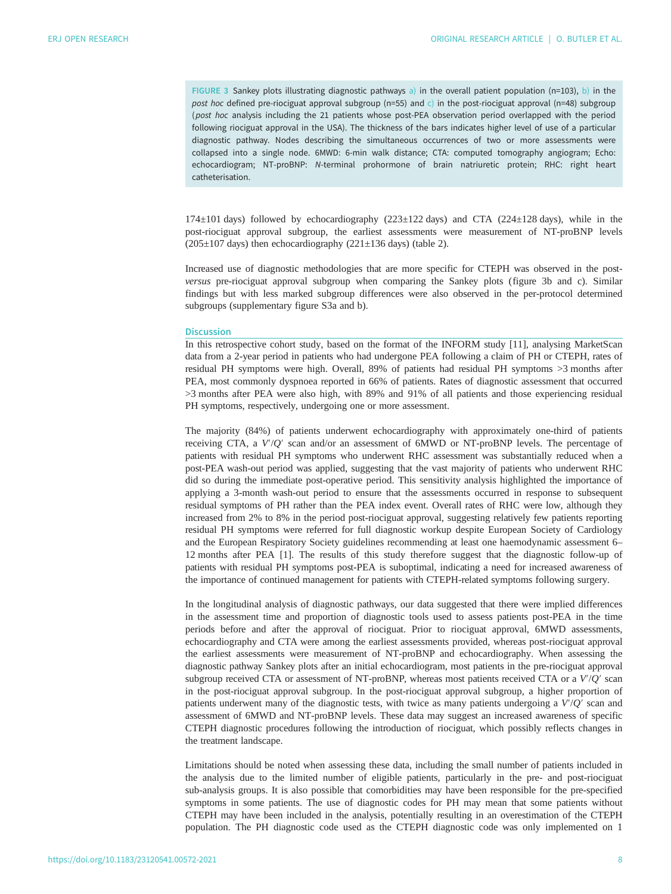FIGURE 3 Sankey plots illustrating diagnostic pathways a) in the overall patient population (n=103), b) in the post hoc defined pre-riociguat approval subgroup (n=55) and c) in the post-riociguat approval (n=48) subgroup (post hoc analysis including the 21 patients whose post-PEA observation period overlapped with the period following riociguat approval in the USA). The thickness of the bars indicates higher level of use of a particular diagnostic pathway. Nodes describing the simultaneous occurrences of two or more assessments were collapsed into a single node. 6MWD: 6-min walk distance; CTA: computed tomography angiogram; Echo: echocardiogram; NT-proBNP: N-terminal prohormone of brain natriuretic protein; RHC: right heart catheterisation.

174±101 days) followed by echocardiography (223±122 days) and CTA (224±128 days), while in the post-riociguat approval subgroup, the earliest assessments were measurement of NT-proBNP levels  $(205\pm107 \text{ days})$  then echocardiography  $(221\pm136 \text{ days})$  [\(table 2\)](#page-4-0).

Increased use of diagnostic methodologies that are more specific for CTEPH was observed in the postversus pre-riociguat approval subgroup when comparing the Sankey plots ([figure 3b](#page-6-0) and c). Similar findings but with less marked subgroup differences were also observed in the per-protocol determined subgroups ([supplementary figure S3a and b\)](http://openres.ersjournals.com/lookup/doi/10.1183/23120541.00572-2021.figures-only#fig-data-supplementary-materials).

## **Discussion**

In this retrospective cohort study, based on the format of the INFORM study [\[11](#page-9-0)], analysing MarketScan data from a 2-year period in patients who had undergone PEA following a claim of PH or CTEPH, rates of residual PH symptoms were high. Overall, 89% of patients had residual PH symptoms >3 months after PEA, most commonly dyspnoea reported in 66% of patients. Rates of diagnostic assessment that occurred >3 months after PEA were also high, with 89% and 91% of all patients and those experiencing residual PH symptoms, respectively, undergoing one or more assessment.

The majority (84%) of patients underwent echocardiography with approximately one-third of patients receiving CTA, a V′/Q′ scan and/or an assessment of 6MWD or NT-proBNP levels. The percentage of patients with residual PH symptoms who underwent RHC assessment was substantially reduced when a post-PEA wash-out period was applied, suggesting that the vast majority of patients who underwent RHC did so during the immediate post-operative period. This sensitivity analysis highlighted the importance of applying a 3-month wash-out period to ensure that the assessments occurred in response to subsequent residual symptoms of PH rather than the PEA index event. Overall rates of RHC were low, although they increased from 2% to 8% in the period post-riociguat approval, suggesting relatively few patients reporting residual PH symptoms were referred for full diagnostic workup despite European Society of Cardiology and the European Respiratory Society guidelines recommending at least one haemodynamic assessment 6– 12 months after PEA [\[1\]](#page-8-0). The results of this study therefore suggest that the diagnostic follow-up of patients with residual PH symptoms post-PEA is suboptimal, indicating a need for increased awareness of the importance of continued management for patients with CTEPH-related symptoms following surgery.

In the longitudinal analysis of diagnostic pathways, our data suggested that there were implied differences in the assessment time and proportion of diagnostic tools used to assess patients post-PEA in the time periods before and after the approval of riociguat. Prior to riociguat approval, 6MWD assessments, echocardiography and CTA were among the earliest assessments provided, whereas post-riociguat approval the earliest assessments were measurement of NT-proBNP and echocardiography. When assessing the diagnostic pathway Sankey plots after an initial echocardiogram, most patients in the pre-riociguat approval subgroup received CTA or assessment of NT-proBNP, whereas most patients received CTA or a V'/Q' scan in the post-riociguat approval subgroup. In the post-riociguat approval subgroup, a higher proportion of patients underwent many of the diagnostic tests, with twice as many patients undergoing a  $V^{\prime}/Q^{\prime}$  scan and assessment of 6MWD and NT-proBNP levels. These data may suggest an increased awareness of specific CTEPH diagnostic procedures following the introduction of riociguat, which possibly reflects changes in the treatment landscape.

Limitations should be noted when assessing these data, including the small number of patients included in the analysis due to the limited number of eligible patients, particularly in the pre- and post-riociguat sub-analysis groups. It is also possible that comorbidities may have been responsible for the pre-specified symptoms in some patients. The use of diagnostic codes for PH may mean that some patients without CTEPH may have been included in the analysis, potentially resulting in an overestimation of the CTEPH population. The PH diagnostic code used as the CTEPH diagnostic code was only implemented on 1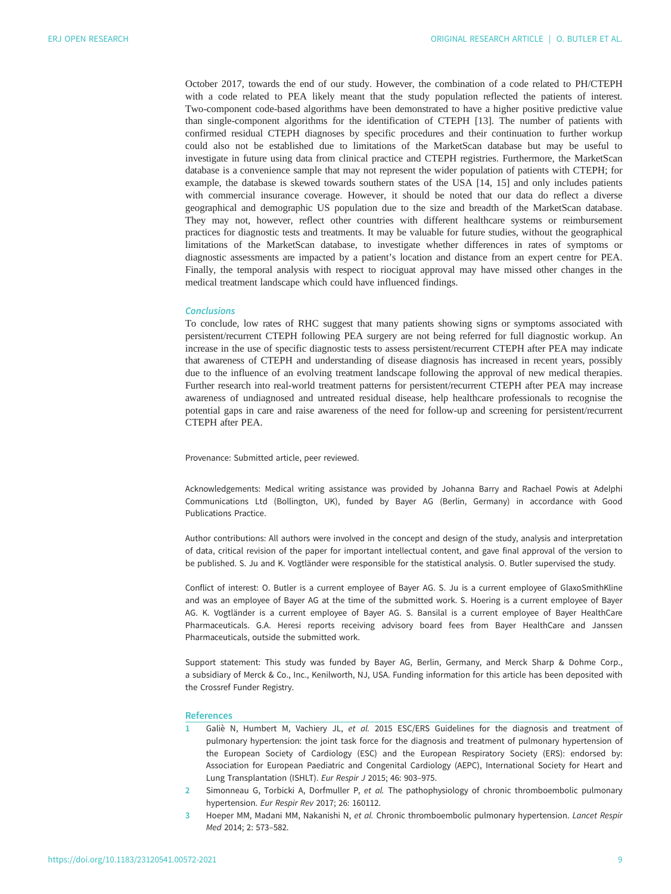<span id="page-8-0"></span>October 2017, towards the end of our study. However, the combination of a code related to PH/CTEPH with a code related to PEA likely meant that the study population reflected the patients of interest. Two-component code-based algorithms have been demonstrated to have a higher positive predictive value than single-component algorithms for the identification of CTEPH [[13\]](#page-9-0). The number of patients with confirmed residual CTEPH diagnoses by specific procedures and their continuation to further workup could also not be established due to limitations of the MarketScan database but may be useful to investigate in future using data from clinical practice and CTEPH registries. Furthermore, the MarketScan database is a convenience sample that may not represent the wider population of patients with CTEPH; for example, the database is skewed towards southern states of the USA [[14, 15\]](#page-9-0) and only includes patients with commercial insurance coverage. However, it should be noted that our data do reflect a diverse geographical and demographic US population due to the size and breadth of the MarketScan database. They may not, however, reflect other countries with different healthcare systems or reimbursement practices for diagnostic tests and treatments. It may be valuable for future studies, without the geographical limitations of the MarketScan database, to investigate whether differences in rates of symptoms or diagnostic assessments are impacted by a patient's location and distance from an expert centre for PEA. Finally, the temporal analysis with respect to riociguat approval may have missed other changes in the medical treatment landscape which could have influenced findings.

## Conclusions

To conclude, low rates of RHC suggest that many patients showing signs or symptoms associated with persistent/recurrent CTEPH following PEA surgery are not being referred for full diagnostic workup. An increase in the use of specific diagnostic tests to assess persistent/recurrent CTEPH after PEA may indicate that awareness of CTEPH and understanding of disease diagnosis has increased in recent years, possibly due to the influence of an evolving treatment landscape following the approval of new medical therapies. Further research into real-world treatment patterns for persistent/recurrent CTEPH after PEA may increase awareness of undiagnosed and untreated residual disease, help healthcare professionals to recognise the potential gaps in care and raise awareness of the need for follow-up and screening for persistent/recurrent CTEPH after PEA.

Provenance: Submitted article, peer reviewed.

Acknowledgements: Medical writing assistance was provided by Johanna Barry and Rachael Powis at Adelphi Communications Ltd (Bollington, UK), funded by Bayer AG (Berlin, Germany) in accordance with Good Publications Practice.

Author contributions: All authors were involved in the concept and design of the study, analysis and interpretation of data, critical revision of the paper for important intellectual content, and gave final approval of the version to be published. S. Ju and K. Vogtländer were responsible for the statistical analysis. O. Butler supervised the study.

Conflict of interest: O. Butler is a current employee of Bayer AG. S. Ju is a current employee of GlaxoSmithKline and was an employee of Bayer AG at the time of the submitted work. S. Hoering is a current employee of Bayer AG. K. Vogtländer is a current employee of Bayer AG. S. Bansilal is a current employee of Bayer HealthCare Pharmaceuticals. G.A. Heresi reports receiving advisory board fees from Bayer HealthCare and Janssen Pharmaceuticals, outside the submitted work.

Support statement: This study was funded by Bayer AG, Berlin, Germany, and Merck Sharp & Dohme Corp., a subsidiary of Merck & Co., Inc., Kenilworth, NJ, USA. Funding information for this article has been deposited with the [Crossref Funder Registry](https://www.crossref.org/services/funder-registry/).

#### References

- 1 Galiè N, Humbert M, Vachiery JL, et al. 2015 ESC/ERS Guidelines for the diagnosis and treatment of pulmonary hypertension: the joint task force for the diagnosis and treatment of pulmonary hypertension of the European Society of Cardiology (ESC) and the European Respiratory Society (ERS): endorsed by: Association for European Paediatric and Congenital Cardiology (AEPC), International Society for Heart and Lung Transplantation (ISHLT). Eur Respir J 2015; 46: 903–975.
- 2 Simonneau G, Torbicki A, Dorfmuller P, et al. The pathophysiology of chronic thromboembolic pulmonary hypertension. Eur Respir Rev 2017; 26: 160112.
- 3 Hoeper MM, Madani MM, Nakanishi N, et al. Chronic thromboembolic pulmonary hypertension. Lancet Respir Med 2014; 2: 573–582.